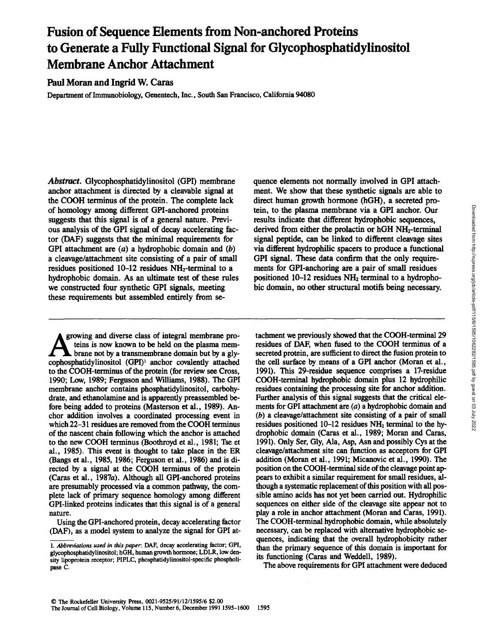# Fusion of Sequence Elements from Non-anchored Proteins to Generate a Fully Functional Signal for Glycophosphatidylinositol Membrane Anchor Attachment

Paul Moran and Ingrid W. Caras

Department of Immunobiology, Genentech, Inc., South San Francisco, California 94080

Abstract. Glycophosphatidylinositol (GPI) membrane anchor attachment is directed by a cleavable signal at the COOH terminus of the protein. The complete lack of homology among different GPI-anchored proteins suggests that this signal is of a general nature. Previous analysis of the GPI signal of decay accelerating factor (DAF) suggests that the minimal requirements for GPI attachment are  $(a)$  a hydrophobic domain and  $(b)$ a cleavage/attachment site consisting of a pair of small residues positioned 10-12 residues NH2-terminal to a hydrophobic domain. As an ultimate test of these rules we constructed four synthetic GPI signals, meeting these requirements but assembled entirely from se-

growing and diverse class of integral membrane proteins is now known to be held on the plasma membrane not by a transmembrane domain but by a gly cophosphatidylinositol (GPI)<sup>1</sup> anchor covalently attached to the COOH-terminus of the protein (for review see Cross, 1990; Low, 1989; Ferguson and Williams, 1988). The GPI membrane anchor contains phosphatidylinositol, carbohydrate, and ethanolamine and is apparently preassembled before being added to proteins (Masterson et al., 1989). Anchor addition involves a coordinated processing event in which 22-31 residues are removed from the COOH terminus of the nascent chain following which the anchor is attached to the new COOH terminus (Boothroyd et al., 1981; Tse et al., 1985). This event is thought to take place in the ER (Bangs et al., 1985, 1986; Ferguson et al., 1986) and is directed by a signal at the COOH terminus of the protein (Caras et al., 1987a). Although all GPI-anchored proteins are presumably processed via <sup>a</sup> common pathway, the complete lack of primary sequence homology among different GPI-linked proteins indicates that this signal is of a general nature.

Using the GPI-anchored protein, decay accelerating factor (DAF), as a model system to analyze the signal for GPI atquence elements not normally involved in GPI attachment. We show that these synthetic signals are able to direct human growth hormone (hGH), a secreted protein, to the plasma membrane via a GPI anchor. Our results indicate that different hydrophobic sequences, derived from either the prolactin or hGH NH2-terminal signal peptide, can be linked to different cleavage sites via different hydrophilic spacers to produce a functional GPI signal. These data confirm that the only requirements for GPI-anchoring are a pair of small residues positioned  $10-12$  residues  $NH<sub>2</sub>$  terminal to a hydrophobic domain, no other structural motifs being necessary.

tachment we previously showed that the COOH-terminal 29 residues of DAF, when fused to the COON terminus of a secreted protein, are sufficient to direct the fusion protein to the cell surface by means of a GPI anchor (Moran et al., 1991). This 29-residue sequence comprises a 17-residue COOH-terminal hydrophobic domain plus 12 hydrophilic residues containing the processing site for anchor addition. Further analysis of this signal suggests that the critical elements for GPI attachment are (a) a hydrophobic domain and (b) a cleavage/attachment site consisting of a pair of small residues positioned  $10-12$  residues  $NH<sub>2</sub>$  terminal to the hydrophobic domain (Caras et al., 1989; Moran and Caras, 1991). Only Ser, Gly, Ala, Asp, Asn and possibly Cys at the cleavage/attachment site can function as acceptors for GPI addition (Moran et al., 1991; Micanovic et al., 1990). The position on the COOH-terminal side of the cleavage point appears to exhibit a similar requirement for small residues, although a systematic replacement of this position with all possible amino acids has not yet been carried out. Hydrophilic sequences on either side of the cleavage site appear not to play a role in anchor attachment (Moran and Caras, 1991). The COOH-terminal hydrophobic domain, while absolutely necessary, can be replaced with alternative hydrophobic sequences, indicating that the overall hydrophobicity rather than the primary sequence of this domain is important for its functioning (Caras and Weddell, 1989).

The above requirements for GPI attachment were deduced

<sup>1.</sup> Abbreviations used in this paper: DAF, decay accelerating factor; GPI, glycophosphatidylinositol; hGH, human growth hormone; LDLR, low density lipoprotein receptor; PIPLC, phosphatidylinositol-specific phospholipase C.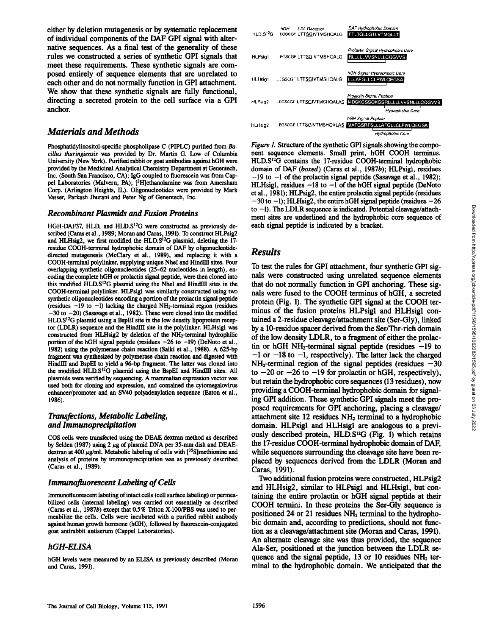either by deletion mutagenesis or by systematic replacement of individual components of the DAF GPI signal with alternative sequences. As a final test of the generality of these rules we constructed a series of synthetic GPI signals that meet these requirements. These synthetic signals are composed entirely of sequence elements that are unrelated to each other and do not normally function in GPI attachment. We show that these synthetic signals are fully functional, directing a secreted protein to the cell surface via a GPI anchor.

## Materials and Methods

Phosphatidylinositol-specific phospholipase C (PIPLC) purified from Bacillus thuringiensis was provided by Dr. Martin G. Low of Columbia University (New York) . Purified rabbit or goat antibodies against hGH were provided by the Medicinal Analytical Chemistry Department at Genentech, Inc. (South San Francisco, CA); IgG coupled to fluorescein was from Cappel Laboratories (Malvern, PA); [<sup>3</sup>H]ethanolamine was from Amersham Corp. (Arlington Heights, IL) . Oligonucleotides were provided by Mark Vasser, Parkash Jhurani and Peter Ng of Genentech, Inc.

#### Recombinant Plasmids and Fusion Proteins

HGH-DAF37, HLD, and HLD.S<sup>12</sup>G were constructed as previously described (Caras et al., 1989; Moran and Caras, 1991). To construct HLPsig2 and HLHsig2, we first modified the HLD.S<sup>12</sup>G plasmid, deleting the 17residue COOH-terminal hydrophobic domain of DAF by oligonucleotidedirected mutagenesis (McClary et al., 1989), and replacing it with a COOH-terminal polylinker, supplying unique Nhel and HindIII sites . Four overlapping synthetic oligonucleotides (25-62 nucleotides in length), encoding the complete hGH or prolactin signal peptide, were then cloned into this modified HLD.S<sup>12</sup>G plasmid using the Nhel and HindIII sites in the COON-terminal polylinker. HLPsigl was similarly constructed using two synthetic oligonucleotides encoding a portion of the prolactin signal peptide (residues  $-19$  to  $-1$ ) lacking the charged NH<sub>2</sub>-terminal region (residues  $-30$  to  $-20$ ) (Sasavage et al., 1982). These were cloned into the modified  $HLD.S<sup>12</sup>G$  plasmid using a BspEI site in the low density lipoprotein receptor (LDLR) sequence and the HindIII site in the polylinker. HLHsigl was constructed from HLHsig2 by deletion of the NH<sub>2</sub>-terminal hydrophilic portion of the hGH signal peptide (residues  $-26$  to  $-19$ ) (DeNoto et al., 1982) using the polymerase chain reaction (Saiki et al., 1988). A 625-bp fragment was synthesized by polymerase chain reaction and digested with HindIII and BspEI to yield a 96-bp fragment. The latter was cloned into the modified HLD.S<sup>12</sup>G plasmid using the BspEI and HindIII sites. All plasmids were verified by sequencing . A mammalian expression vector was used both for cloning and expression, and contained the cytomegalovirus enhancer/promoter and an SV40 polyadenylation sequence (Eaton et al., 1986) .

#### Transfections, Metabolic Labeling, and Immunoprecipitation

COS cells were transfected using the DEAF dextran method as described by Selden (1987) using  $2 \mu g$  of plasmid DNA per 35-mm dish and DEAEdextran at 400  $\mu$ g/ml. Metabolic labeling of cells with  $[^{35}S]$ methionine and analysis of proteins by immunoprecipitation was as previously described (Caras et al., 1989).

#### Immunofluorescent Labeling of Cells

Immunofluorescent labeling of intact cells (cell surface labeling) or permeabilized cells (internal labeling) was carried out essentially as described (Caras et al., 1987b) except that  $0.5\%$  Triton X-100/PBS was used to permeabilize the cells. Cells were incubated with a purified rabbit antibody against human growth hormone (hGH), followed by fluorescein-conjugated goat antirabbit antiserum (Cappel Laboratories) .

## hGH-ELISA

hGH levels were measured by an ELISA as previously described (Moran and Caras, 1991) .



Figure 1. Structure of the synthetic GPI signals showing the component sequence elements. Small print, hGH COOH terminus. HLD.S<sup>12</sup>G contains the 17-residue COOH-terminal hydrophobic domain of DAF (boxed) (Caras et al., 1987b); HLPsigl, residues  $-19$  to  $-1$  of the prolactin signal peptide (Sasavage et al., 1982); HLHsigl, residues  $-18$  to  $-1$  of the hGH signal peptide (DeNoto et al ., 1981) ; HLPsig2, the entire prolactin signal peptide (residues  $-30$  to  $-1$ ); HLHsig2, the entire hGH signal peptide (residues  $-26$ ) to  $-1$ ). The LDLR sequence is indicated. Potential cleavage/attachment sites are underlined and the hydrophobic core sequence of each signal peptide is indicated by a bracket.

## Results

To test the rules for GPI attachment, four synthetic GPI signals were constructed using unrelated sequence elements that do not normally function in GPI anchoring. These signals were fused to the COOH terminus of hGH, a secreted protein (Fig. 1). The synthetic GPI signal at the COOH terminus of the fusion proteins HLPsigl and HLHsigl contained a 2-residue cleavage/attachment site (Ser-Gly), linked by a 10-residue spacer derived from the Ser/Thr-rich domain of the low density LDLR, to a fragment of either the prolactin or hGH NH<sub>2</sub>-terminal signal peptide (residues  $-19$  to  $-1$  or  $-18$  to  $-1$ , respectively). The latter lack the charged  $NH<sub>2</sub>$ -terminal region of the signal peptides (residues  $-30$ to  $-20$  or  $-26$  to  $-19$  for prolactin or hGH, respectively), but retain the hydrophobic core sequences (13 residues), now providing a COOH-terminal hydrophobic domain for signaling GPI addition. These synthetic GPI signals meet the proposed requirements for GPI anchoring, placing a cleavage/ attachment site  $12$  residues  $NH<sub>2</sub>$  terminal to a hydrophobic domain. HLPsigl and HLHsigl are analogous to a previously described protein,  $HLD.S<sup>12</sup>G$  (Fig. 1) which retains the 17-residue COOH-terminal hydrophobic domain of DAF, while sequences surrounding the cleavage site have been replaced by sequences derived from the LDLR (Moran and Caras, 1991) .

Two additional fusion proteins were constructed, HLPsig2 and HLHsigl, similar to HLPsigl and HLHsigl, but containing the entire prolactin or hGH signal peptide at their COOH termini . In these proteins the Ser-Gly sequence is positioned 24 or 21 residues NH2 terminal to the hydrophobic domain and, according to predictions, should not function as a cleavage/attachment site (Moran and Caras, 1991). An alternate cleavage site was thus provided, the sequence Ala-Ser, positioned at the junction between the LDLR sequence and the signal peptide,  $13$  or  $10$  residues NH<sub>2</sub> terminal to the hydrophobic domain. We anticipated that the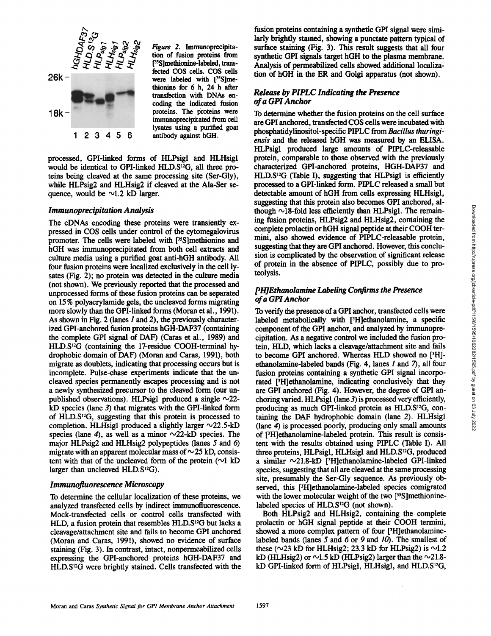

Figure 2. Immunoprecipitation of fusion proteins from [<sup>35</sup>S]methionine-labeled, transfected COS cells. COS cells were labeled with [35S]methionine for 6 h, 24 h after transfection with DNAs encoding the indicated fusion proteins . The proteins were immunoprecipitated from cell lysates using a purified goat antibody against hGH.

processed, GPI-linked forms of HLPsigl and HLHsigl would be identical to GPI-linked HLD.S<sup>12</sup>G, all three proteins being cleaved at the same processing site (Ser-Gly), while HLPsig2 and HLHsig2 if cleaved at the Ala-Ser sequence, would be  $\sim$ 1.2 kD larger.

#### Immunoprecipitation Analysis

The cDNAs encoding these proteins were transiently expressed in COS cells under control of the cytomegalovirus promoter. The cells were labeled with [35]methionine and hGH was immunoprecipitated from both cell extracts and culture media using a purified goat anti-hGH antibody. All four fusion proteins were localized exclusively in the cell lysates (Fig. 2); no protein was detected in the culture media (not shown). We previously reported that the processed and unprocessed forms of these fusion proteins can be separated on 15% polyacrylamide gels, the uncleaved forms migrating more slowly than the GPI-linked forms (Moran et al., 1991). As shown in Fig. 2 (lanes  $1$  and  $2$ ), the previously characterized GPI-anchored fusion proteins hGH-DAF37 (containing the complete GPI signal of DAF) (Caras et al., 1989) and  $HLD.S<sup>12</sup>G$  (containing the 17-residue COOH-terminal hydrophobic domain of DAF) (Moran and Caras, 1991), both migrate as doublets, indicating that processing occurs but is incomplete. Pulse-chase experiments indicate that the uncleaved species permanently escapes processing and is not a newly synthesized precursor to the cleaved form (our unpublished observations). HLPsigl produced a single  $\sim$ 22 $kD$  species (lane 3) that migrates with the GPI-linked form of HLD.S $^{12}G$ , suggesting that this protein is processed to completion. HLHsigl produced a slightly larger  $\sim$ 22.5-kD species (lane 4), as well as a minor  $\sim$ 22-kD species. The major HLPsig2 and HLHsig2 polypeptides (lanes 5 and 6) migrate with an apparent molecular mass of  $\sim$  25 kD, consistent with that of the uncleaved form of the protein  $(\sim]$  kD larger than uncleaved  $HLD.S^{12}G$ ).

#### Immunofuorescence Microscopy

To determine the cellular localization of these proteins, we analyzed transfected cells by indirect immunofluorescence. Mock-transfected cells or control cells transfected with HLD, a fusion protein that resembles HLD.S<sup>12</sup>G but lacks a cleavage/attachment site and fails to become GPI anchored (Moran and Caras, 1991), showed no evidence of surface staining (Fig. 3) . In contrast, intact, nonpermeabilized cells expressing the GPI-anchored proteins hGH-DAF37 and HLD.S<sup>12</sup>G were brightly stained. Cells transfected with the

fusion proteins containing a synthetic GPI signal were similarly brightly stained, showing a punctate pattern typical of surface staining (Fig. 3). This result suggests that all four synthetic GPI signals target hGH to the plasma membrane. Analysis of permeabilized cells showed additional localization of hGH in the ER and Golgi apparatus (not shown).

## Release by PIPLC Indicating the Presence ofa GPI Anchor

To determine whether the fusion proteins on the cell surface are GPI anchored, transfected COS cells were incubated with phosphatidylinositol-specific PIPLC from Bacillus thuringiensis and the released hGH was measured by an ELISA. HLPsigl produced large amounts of PIPLC-releasable protein, comparable to those observed with the previously characterized GPI-anchored proteins, HGH-DAF37 and  $HLD.S<sup>12</sup>G$  (Table I), suggesting that HLPsigl is efficiently processed to a GPI-linked form. PIPLC released a small but detectable amount of hGH from cells expressing HLHsigl, suggesting that this protein also becomes GPI anchored, although  $\sim$ 18-fold less efficiently than HLPsigl. The remaining fusion proteins, HLPsig2 and HLHsig2, containing the complete prolactin or hGH signal peptide at their COOH termini, also showed evidence of PIPLC-releasable protein, suggesting that they are GPI anchored. However, this conclusion is complicated by the observation of significant release of protein in the absence of PIPLC, possibly due to proteolysis .

### $PHJE$ thanolamine Labeling Confirms the Presence ofa GPIAnchor

To verify the presence of a GPI anchor, transfected cells were labeled metabolically with  $[3H]$ ethanolamine, a specific component of the GPI anchor, and analyzed by immunoprecipitation. As a negative control we included the fusion protein, HLD, which lacks a cleavage/attachment site and fails to become GPI anchored. Whereas HLD showed no [3H] ethanolamine-labeled bands (Fig. 4, lanes 1 and 7), all four fusion proteins containing a synthetic GPI signal incorporated [3H]ethanolamine, indicating conclusively that they are GPI anchored (Fig. 4) . However, the degree of GPI anchoring varied . HLPsigl (lane 3) is processed veryefficiently, producing as much GPI-linked protein as HLD.S<sup>12</sup>G, containing the DAF hydrophobic domain (lane 2). HLHsigl (lane 4) is processed poorly, producing only small amounts of ['H]ethanolamine-labeled protein. This result is consistent with the results obtained using PIPLC (Table I) . All three proteins, HLPsigl, HLHsigl and HLD.S<sup>12</sup>G, produced a similar  $\sim$ 21.8-kD [<sup>3</sup>H]ethanolamine-labeled GPI-linked species, suggesting that all are cleaved at the same processing site, presumably the Ser-Gly sequence . As previously observed, this [3H]ethanolamine-labeled species comigrated with the lower molecular weight of the two  $[$ <sup>35</sup>S]methioninelabeled species of  $HLD.S<sup>12</sup>G$  (not shown).

Both HLPsig2 and HLHsig2, containing the complete prolactin or hGH signal peptide at their COOH termini, showed a more complex pattern of four [3H]ethanolaminelabeled bands (lanes  $5$  and  $6$  or  $9$  and  $10$ ). The smallest of these ( $\sim$ 23 kD for HLHsig2; 23.3 kD for HLPsig2) is  $\sim$ 1.2 kD (HLHsig2) or  $\sim$ 1.5 kD (HLPsig2) larger than the  $\sim$ 21.8kD GPI-linked form of HLPsigl, HLHsigl, and HLD. $S^{12}G$ ,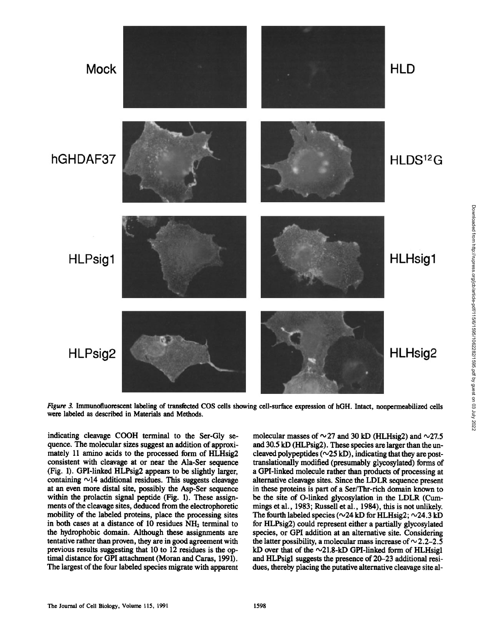

Figure 3. Inununofluorescent labeling of transfected COS cells showing cell-surface expression of hGH. Intact, nonpermeabilized cells were labeled as described in Materials and Methods .

indicating cleavage COOH terminal to the Ser-Gly sequence. The molecular sizes suggest an addition of approximately 11 amino acids to the processed form of HLHsig2 consistent with cleavage at or near the Ala-Ser sequence (Fig. 1). GPI-linked HLPsig2 appears to be slightly larger, containing  $\sim$ 14 additional residues. This suggests cleavage at an even more distal site, possibly the Asp-Ser sequence within the prolactin signal peptide (Fig. 1). These assignments of the cleavage sites, deduced from the electrophoretic mobility of the labeled proteins, place the processing sites in both cases at a distance of 10 residues  $NH<sub>2</sub>$  terminal to the hydrophobic domain. Although these assignments are tentative rather than proven, they are in goodagreement with previous results suggesting that 10 to 12 residues is the optimal distance for GPI attachment (Moran and Caras, 1991). The largest of the four labeled species migrate with apparent

molecular masses of  $\sim$  27 and 30 kD (HLHsig2) and  $\sim$ 27.5 and 30.5 kD (HLPsig2) . These species are larger than the uncleaved polypeptides ( $\sim$ 25 kD), indicating that they are posttranslationally modified (presumably glycosylated) forms of a GPI-linked molecule rather than products of processing at alternative cleavage sites. Since the LDLR sequence present in these proteins is part of a Ser/Thr-rich domain known to be the site of O-linked glycosylation in the LDLR (Cum-<br>mings et al., 1983; Russell et al., 1984), this is not unlikely. The fourth labeled species ( $\sim$ 24 kD for HLHsig2;  $\sim$ 24.3 kD for HLPsig2) could represent either a partially glycosylated species, or GPI addition at an alternative site. Considering the latter possibility, a molecular mass increase of  $\sim$  2.2-2.5 kD over that of the  $\sim$ 21.8-kD GPI-linked form of HLHsigl and HLPsigl suggests the presence of 20-23 additional residues, thereby placing the putative alternative cleavage site al-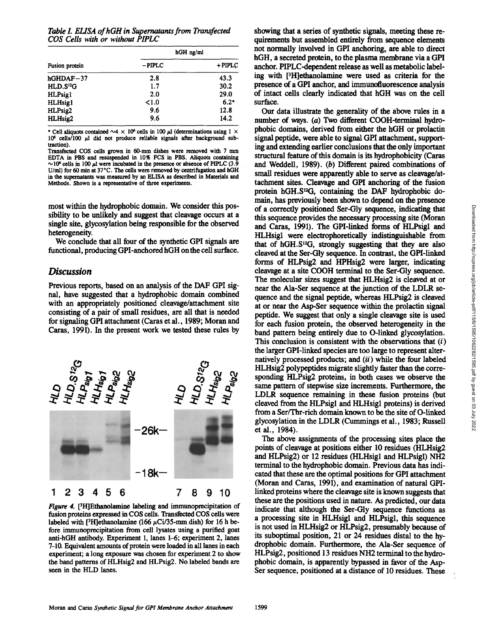Table I. ELISA of hGH in Supernatants from Transfected COS Cells with or without PIPLC

| Fusion protein        | hGH ng/ml |           |
|-----------------------|-----------|-----------|
|                       | $-$ PIPLC | $+$ PIPLC |
| $hGHDAF-37$           | 2.8       | 43.3      |
| HLD.S <sup>12</sup> G | 1.7       | 30.2      |
| HLPsig1               | 2.0       | 29.0      |
| <b>HLHsig1</b>        | < 1.0     | $6.2*$    |
| HLPsig2               | 9.6       | 12.8      |
| HLHsig2               | 9.6       | 14.2      |

\* Cell aliquots contained  $\sim$  4  $\times$  10<sup>6</sup> cells in 100  $\mu$ l (determinations using 1  $\times$  $10<sup>6</sup>$  cells/100  $\mu$ l did not produce reliable signals after background subtraction) .

Transfected COS cells grown in 60-mm dishes were removed with 7 mm EDTA in PBS and resuspended in 10% FCS in PBS. Aliquots containing  $\sim$ 10<sup>6</sup> cells in 100  $\mu$ l were incubated in the presence or absence of PIPLC (3.9) U/ml) for 60 min at 37°C. The cells were removed by centrifugation and hGH in the supernatants was measured by an ELISA as described in Materials and Methods. Shown is a representative of three experiments.

most within the hydrophobic domain. We consider this possibility to be unlikely and suggest that cleavage occurs at a single site, glycosylation being responsible for the observed heterogeneity.

We conclude that all four of the synthetic GPI signals are functional, producing GPI-anchored hGH on the cell surface.

#### Discussion

Previous reports, based on an analysis of the DAF GPI signal, have suggested that a hydrophobic domain combined with an appropriately positioned cleavage/attachment site consisting of a pair of small residues, are all that is needed for signaling GPI attachment (Caras et al., 1989; Moran and Caras, 1991) . In the present work we tested these rules by



Figure 4. PH]Ethanolamine labeling and immunoprecipitation of fusion proteins expressed in COS cells. Transfected COS cells were labeled with [<sup>3</sup>H]ethanolamine (166  $\mu$ Ci/35-mm dish) for 16 h before immunoprecipitation from cell lysates using a purified goat anti-hGH antibody. Experiment 1, lanes 1-6; experiment 2, lanes 7-10. Equivalent amounts of protein were loaded in all lanes in each experiment; a long exposure was chosen for experiment 2 to show the band patterns of HLHsig2 and HLPsig2 . No labeled bands are seen in the HLD lanes.

showing that a series of synthetic signals, meeting these requirements but assembled entirely from sequence elements not normally involved in GPI anchoring, are able to direct hGH, a secreted protein, to the plasma membrane via a GPI anchor. PIPLC-dependent release as well as metabolic labeling with [3H]ethanolamine were used as criteria for the presence of a GPI anchor, and immunofluorescence analysis of intact cells clearly indicated that hGH was on the cell surface.

Our data illustrate the generality of the above rules in a number of ways.  $(a)$  Two different COOH-terminal hydrophobic domains, derived from either the hGH or prolactin signal peptide, were able to signal GPI attachment, supporting and extending earlier conclusions that the only important structural feature of this domain is its hydrophobicity (Caras and Weddell, 1989). (b) Different paired combinations of small residues were apparently able to serve as cleavage/attachment sites. Cleavage and GPI anchoring of the fusion protein hGH.S'2G, containing the DAF hydrophobic domain, has previously been shown to depend on the presence of a correctly positioned Ser-Gly sequence, indicating that this sequence provides the necessary processing site (Moran and Caras, 1991). The GPI-linked forms of HLPsigl and HLHsigl were electrophoretically indistinguishable from that of hGH. $S^{12}G$ , strongly suggesting that they are also cleaved at the Ser-Gly sequence. In contrast, the GPI-linked forms of HLPsig2 and HPHsig2 were larger, indicating cleavage at <sup>a</sup> site COOH terminal to the Ser-Gly sequence . The molecular sizes suggest that HLHsig2 is cleaved at or near the Ala-Ser sequence at the junction of the LDLR sequence and the signal peptide, whereas HLPsig2 is cleaved at or near the Asp-Ser sequence within the prolactin signal peptide . We suggest that only a single cleavage site is used for each fusion protein, the observed heterogeneity in the band pattern being entirely due to O-linked glycosylation. This conclusion is consistent with the observations that  $(i)$ the larger GPI-linked species are too large to represent alternatively processed products; and  $(ii)$  while the four labeled HLHsig2 polypeptides migrate slightly faster than the corresponding HLPsig2 proteins, in both cases we observe the same pattern of stepwise size increments. Furthermore, the LDLR sequence remaining in these fusion proteins (but cleaved from the HLPsigl and HLHsigl proteins) is derived from a Ser/Thr-rich domain known to be the site of 0-linked glycosylation in the LDLR (Cummings et al ., 1983; Russell et al., 1984).

The above assignments of the processing sites place the points of cleavage at positions either 10 residues (HLHsig2 and HLPsig2) or 12 residues (HLHsigl and HLPsigl) NH2 terminal to the hydrophobic domain . Previous data has indicated that these are the optimal positions for GPI attachment (Moran and Caras, 1991), and examination of natural GPIlinked proteins where the cleavage site is known suggests that these are the positions used in nature. As predicted, our data indicate that although the Ser-Gly sequence functions as a processing site in HLHsigl and HLPsigl, this sequence is not used in HLHsig2 or HLPsig2, presumably because of its suboptimal position, 21 or 24 residues distal to the hydrophobic domain. Furthermore, the Ala-Ser sequence of HLPsig2, positioned 13 residues NH2 terminal to the hydrophobic domain, is apparently bypassed in favor of the Asp-Ser sequence, positioned at a distance of 10 residues. These